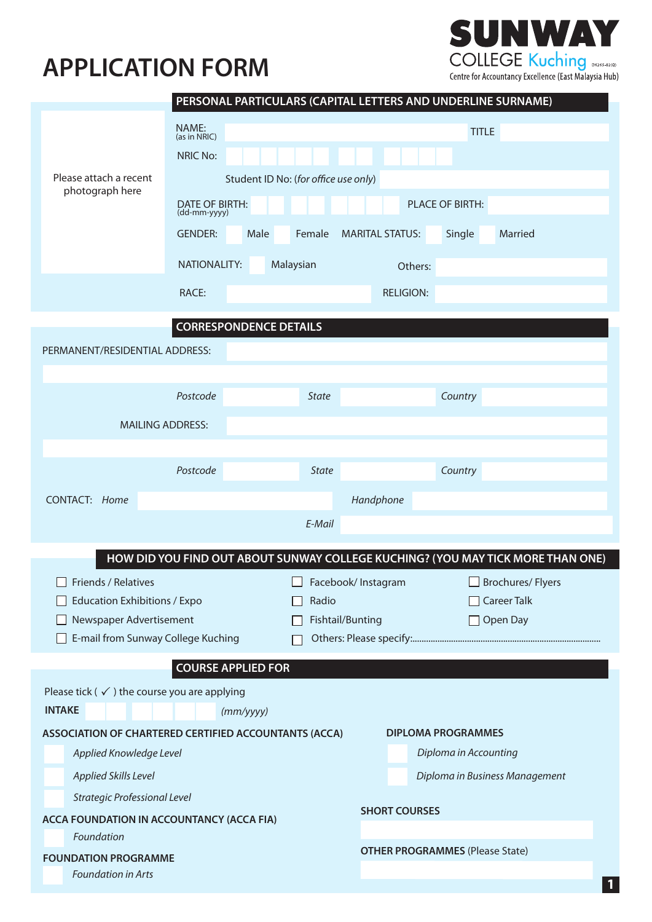



|                                                                                         |                                             | PERSONAL PARTICULARS (CAPITAL LETTERS AND UNDERLINE SURNAME) |                            |                                        |                                                                                 |  |
|-----------------------------------------------------------------------------------------|---------------------------------------------|--------------------------------------------------------------|----------------------------|----------------------------------------|---------------------------------------------------------------------------------|--|
|                                                                                         | NAME:<br>(as in NRIC)                       | <b>TITLE</b>                                                 |                            |                                        |                                                                                 |  |
|                                                                                         | <b>NRIC No:</b>                             |                                                              |                            |                                        |                                                                                 |  |
| Please attach a recent                                                                  |                                             | Student ID No: (for office use only)                         |                            |                                        |                                                                                 |  |
| photograph here                                                                         | DATE OF BIRTH:                              |                                                              |                            | <b>PLACE OF BIRTH:</b>                 |                                                                                 |  |
|                                                                                         | (dd-mm-yyyy)                                |                                                              |                            |                                        |                                                                                 |  |
|                                                                                         | <b>GENDER:</b>                              | Male<br>Female                                               | <b>MARITAL STATUS:</b>     | Single                                 | Married                                                                         |  |
|                                                                                         | <b>NATIONALITY:</b><br>Malaysian<br>Others: |                                                              |                            |                                        |                                                                                 |  |
|                                                                                         | RACE:                                       |                                                              | <b>RELIGION:</b>           |                                        |                                                                                 |  |
|                                                                                         |                                             |                                                              |                            |                                        |                                                                                 |  |
| <b>CORRESPONDENCE DETAILS</b>                                                           |                                             |                                                              |                            |                                        |                                                                                 |  |
| PERMANENT/RESIDENTIAL ADDRESS:                                                          |                                             |                                                              |                            |                                        |                                                                                 |  |
|                                                                                         | Postcode                                    | <b>State</b>                                                 |                            | Country                                |                                                                                 |  |
|                                                                                         |                                             |                                                              |                            |                                        |                                                                                 |  |
|                                                                                         | <b>MAILING ADDRESS:</b>                     |                                                              |                            |                                        |                                                                                 |  |
|                                                                                         |                                             |                                                              |                            |                                        |                                                                                 |  |
|                                                                                         | Postcode                                    | <b>State</b>                                                 |                            | Country                                |                                                                                 |  |
| CONTACT: Home                                                                           |                                             |                                                              | Handphone                  |                                        |                                                                                 |  |
|                                                                                         |                                             | E-Mail                                                       |                            |                                        |                                                                                 |  |
|                                                                                         |                                             |                                                              |                            |                                        | HOW DID YOU FIND OUT ABOUT SUNWAY COLLEGE KUCHING? (YOU MAY TICK MORE THAN ONE) |  |
| Friends / Relatives                                                                     |                                             |                                                              | $\Box$ Facebook/ Instagram |                                        | Brochures/Flyers                                                                |  |
| <b>Education Exhibitions / Expo</b>                                                     |                                             | Radio                                                        |                            |                                        | $\Box$ Career Talk                                                              |  |
| Newspaper Advertisement                                                                 |                                             |                                                              | Fishtail/Bunting           |                                        | $\Box$ Open Day                                                                 |  |
| E-mail from Sunway College Kuching                                                      |                                             |                                                              |                            |                                        |                                                                                 |  |
|                                                                                         | <b>COURSE APPLIED FOR</b>                   |                                                              |                            |                                        |                                                                                 |  |
| Please tick ( $\checkmark$ ) the course you are applying                                |                                             |                                                              |                            |                                        |                                                                                 |  |
| <b>INTAKE</b>                                                                           |                                             | (mm/yyyy)                                                    |                            |                                        |                                                                                 |  |
| <b>ASSOCIATION OF CHARTERED CERTIFIED ACCOUNTANTS (ACCA)</b>                            |                                             |                                                              |                            | <b>DIPLOMA PROGRAMMES</b>              |                                                                                 |  |
| Applied Knowledge Level                                                                 |                                             |                                                              |                            | Diploma in Accounting                  |                                                                                 |  |
| Applied Skills Level                                                                    |                                             |                                                              |                            | Diploma in Business Management         |                                                                                 |  |
| <b>Strategic Professional Level</b><br><b>ACCA FOUNDATION IN ACCOUNTANCY (ACCA FIA)</b> |                                             |                                                              | <b>SHORT COURSES</b>       |                                        |                                                                                 |  |
| Foundation                                                                              |                                             |                                                              |                            |                                        |                                                                                 |  |
| <b>FOUNDATION PROGRAMME</b>                                                             |                                             |                                                              |                            | <b>OTHER PROGRAMMES (Please State)</b> |                                                                                 |  |
| Foundation in Arts                                                                      |                                             |                                                              |                            |                                        |                                                                                 |  |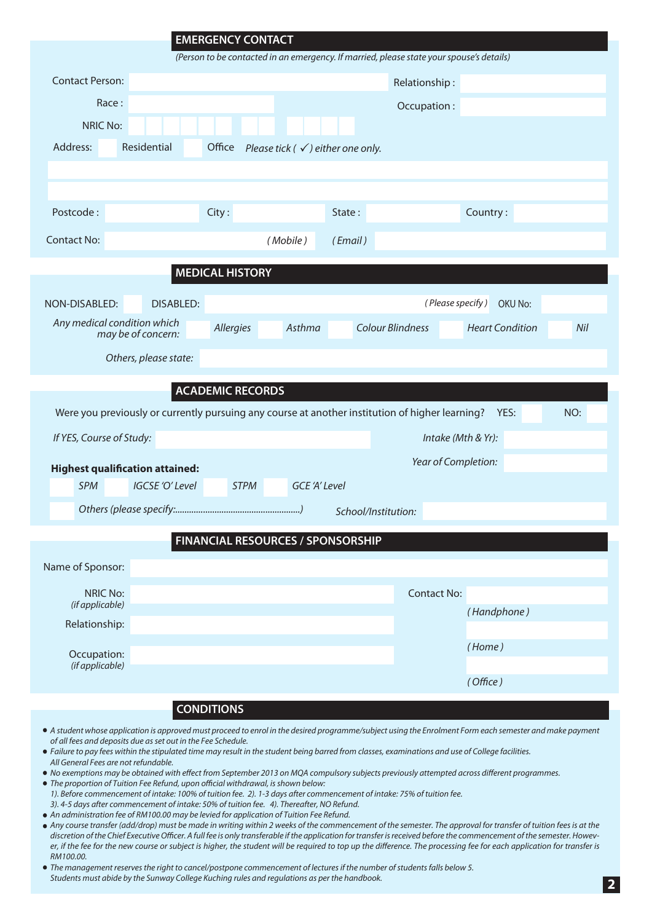|                                                                                                 | <b>EMERGENCY CONTACT</b>                                |                                                                                          |                               |
|-------------------------------------------------------------------------------------------------|---------------------------------------------------------|------------------------------------------------------------------------------------------|-------------------------------|
|                                                                                                 |                                                         | (Person to be contacted in an emergency. If married, please state your spouse's details) |                               |
| <b>Contact Person:</b>                                                                          |                                                         | Relationship:                                                                            |                               |
| Race:                                                                                           |                                                         | Occupation:                                                                              |                               |
| <b>NRIC No:</b>                                                                                 |                                                         |                                                                                          |                               |
| Address:<br>Residential                                                                         | Office<br>Please tick ( $\checkmark$ ) either one only. |                                                                                          |                               |
|                                                                                                 |                                                         |                                                                                          |                               |
|                                                                                                 |                                                         |                                                                                          |                               |
| Postcode:                                                                                       | City:                                                   | State:                                                                                   | Country:                      |
| <b>Contact No:</b>                                                                              | (Mobile)                                                | (Email)                                                                                  |                               |
|                                                                                                 | <b>MEDICAL HISTORY</b>                                  |                                                                                          |                               |
|                                                                                                 |                                                         |                                                                                          |                               |
| <b>DISABLED:</b><br>NON-DISABLED:                                                               |                                                         |                                                                                          | (Please specify)<br>OKU No:   |
| Any medical condition which<br>may be of concern:                                               | Asthma<br>Allergies                                     | <b>Colour Blindness</b>                                                                  | <b>Heart Condition</b><br>Nil |
| Others, please state:                                                                           |                                                         |                                                                                          |                               |
|                                                                                                 | <b>ACADEMIC RECORDS</b>                                 |                                                                                          |                               |
| Were you previously or currently pursuing any course at another institution of higher learning? |                                                         |                                                                                          | NO:<br>YES:                   |
| If YES, Course of Study:                                                                        |                                                         |                                                                                          | Intake (Mth & Yr):            |
| <b>Highest qualification attained:</b>                                                          |                                                         |                                                                                          | Year of Completion:           |
| <b>SPM</b><br>IGCSE 'O' Level                                                                   | <b>GCE 'A' Level</b><br><b>STPM</b>                     |                                                                                          |                               |
|                                                                                                 |                                                         | School/Institution:                                                                      |                               |
|                                                                                                 | <b>FINANCIAL RESOURCES / SPONSORSHIP</b>                |                                                                                          |                               |
|                                                                                                 |                                                         |                                                                                          |                               |
| Name of Sponsor:                                                                                |                                                         |                                                                                          |                               |
| <b>NRIC No:</b><br>(if applicable)                                                              |                                                         | <b>Contact No:</b>                                                                       |                               |
| Relationship:                                                                                   |                                                         |                                                                                          | (Handphone)                   |
|                                                                                                 |                                                         |                                                                                          | (Home)                        |
| Occupation:<br>(if applicable)                                                                  |                                                         |                                                                                          |                               |
|                                                                                                 |                                                         |                                                                                          | (Office)                      |

- **CONDITIONS**
- *A student whose application is approved must proceed to enrol in the desired programme/subject using the Enrolment Form each semester and make payment of all fees and deposits due as set out in the Fee Schedule.*
- *Failure to pay fees within the stipulated time may result in the student being barred from classes, examinations and use of College facilities. All General Fees are not refundable.*
- *No exemptions may be obtained with effect from September 2013 on MQA compulsory subjects previously attempted across different programmes.*
- *The proportion of Tuition Fee Refund, upon official withdrawal, is shown below:*
- *1). Before commencement of intake: 100% of tuition fee. 2). 1-3 days after commencement of intake: 75% of tuition fee.*
- *3). 4-5 days after commencement of intake: 50% of tuition fee. 4). Thereafter, NO Refund. An administration fee of RM100.00 may be levied for application of Tuition Fee Refund.*
- *Any course transfer (add/drop) must be made in writing within 2 weeks of the commencement of the semester. The approval for transfer of tuition fees is at the*  discretion of the Chief Executive Officer. A full fee is only transferable if the application for transfer is received before the commencement of the semester. Howev*er, if the fee for the new course or subject is higher, the student will be required to top up the difference. The processing fee for each application for transfer is RM100.00.*
- *The management reserves the right to cancel/postpone commencement of lectures if the number of students falls below 5. Students must abide by the Sunway College Kuching rules and regulations as per the handbook.*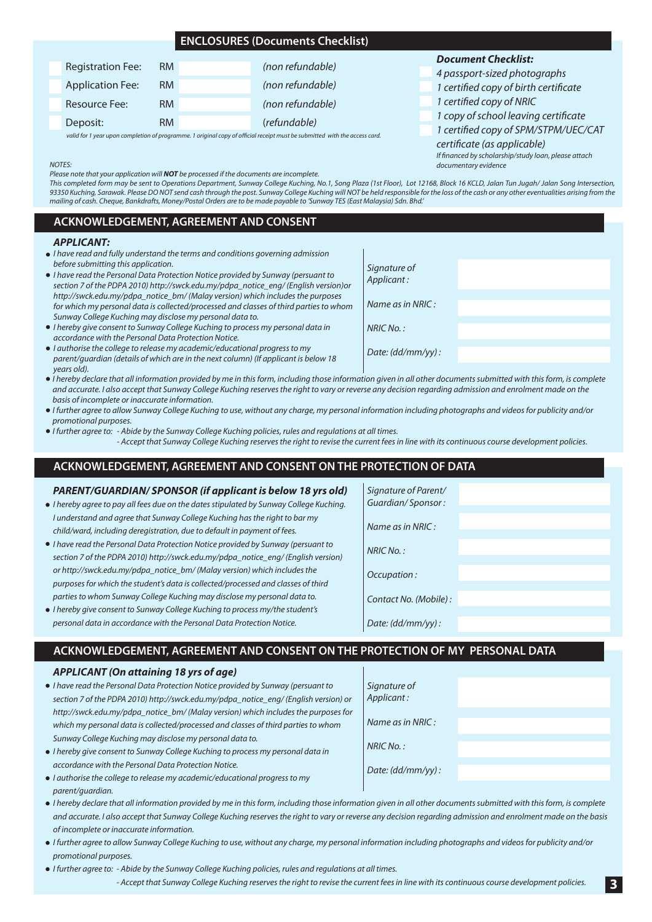## **ENCLOSURES (Documents Checklist)**

| <b>Registration Fee:</b> | RM        | (non refundable)                                                                                                          |
|--------------------------|-----------|---------------------------------------------------------------------------------------------------------------------------|
| <b>Application Fee:</b>  | RM        | (non refundable)                                                                                                          |
| Resource Fee:            | <b>RM</b> | (non refundable)                                                                                                          |
| Deposit:                 | <b>RM</b> | (refundable)                                                                                                              |
|                          |           | valid for 1 year upon completion of programme 1 original copy of official receipt must be submitted, with the access card |

### *Document Checklist:*

*4 passport-sized photographs*

- *1 certified copy of birth certificate*
- *1 certified copy of NRIC*
- *1 copy of school leaving certificate*
- *1 certified copy of SPM/STPM/UEC/CAT*

*certificate (as applicable) If financed by scholarship/study loan, please attach documentary evidence*

*NOTES: Please note that your application will NOT be processed if the documents are incomplete.*

*This completed form may be sent to Operations Department, Sunway College Kuching, No.1, Song Plaza (1st Floor), Lot 12168, Block 16 KCLD, Jalan Tun Jugah/ Jalan Song Intersection, 93350 Kuching, Sarawak. Please DO NOT send cash through the post. Sunway College Kuching will NOT be held responsible for the loss of the cash or any other eventualities arising from the mailing of cash. Cheque, Bankdrafts, Money/Postal Orders are to be made payable to 'Sunway TES (East Malaysia) Sdn. Bhd.'*

## **ACKNOWLEDGEMENT, AGREEMENT AND CONSENT**

#### *APPLICANT:*

- *I have read and fully understand the terms and conditions governing admission before submitting this application.*
- *I have read the Personal Data Protection Notice provided by Sunway (persuant to section 7 of the PDPA 2010) http://swck.edu.my/pdpa\_notice\_eng/ (English version)or http://swck.edu.my/pdpa\_notice\_bm/ (Malay version) which includes the purposes for which my personal data is collected/processed and classes of third parties to whom Sunway College Kuching may disclose my personal data to.*
- *I hereby give consent to Sunway College Kuching to process my personal data in accordance with the Personal Data Protection Notice.*
- *I authorise the college to release my academic/educational progress to my parent/guardian (details of which are in the next column) (If applicant is below 18 years old).*
- *I hereby declare that all information provided by me in this form, including those information given in all other documents submitted with this form, is complete and accurate. I also accept that Sunway College Kuching reserves the right to vary or reverse any decision regarding admission and enrolment made on the basis of incomplete or inaccurate information.*
- *I further agree to allow Sunway College Kuching to use, without any charge, my personal information including photographs and videos for publicity and/or promotional purposes.*
- *I further agree to: Abide by the Sunway College Kuching policies, rules and regulations at all times. - Accept that Sunway College Kuching reserves the right to revise the current fees in line with its continuous course development policies.*

# **ACKNOWLEDGEMENT, AGREEMENT AND CONSENT ON THE PROTECTION OF DATA**

### *PARENT/GUARDIAN/ SPONSOR (if applicant is below 18 yrs old)*

- *I hereby agree to pay all fees due on the dates stipulated by Sunway College Kuching. I understand and agree that Sunway College Kuching has the right to bar my child/ward, including deregistration, due to default in payment of fees.*
- *I have read the Personal Data Protection Notice provided by Sunway (persuant to section 7 of the PDPA 2010) http://swck.edu.my/pdpa\_notice\_eng/ (English version) or http://swck.edu.my/pdpa\_notice\_bm/ (Malay version) which includes the purposes for which the student's data is collected/processed and classes of third parties to whom Sunway College Kuching may disclose my personal data to.*
- *I hereby give consent to Sunway College Kuching to process my/the student's personal data in accordance with the Personal Data Protection Notice.*

| 1001551101101                             | _____ |
|-------------------------------------------|-------|
| Signature of Parent/<br>Guardian/Sponsor: |       |
| Name as in NRIC:                          |       |
| NRIC No.:                                 |       |
| Occupation:                               |       |
| Contact No. (Mobile):                     |       |
| Date: (dd/mm/yy):                         |       |
|                                           |       |

## **ACKNOWLEDGEMENT, AGREEMENT AND CONSENT ON THE PROTECTION OF MY PERSONAL DATA**

*Signature of Applicant :*

*NRIC No. :*

*Name as in NRIC :*

*Date: (dd/mm/yy) :*

### *APPLICANT (On attaining 18 yrs of age)*

- *I have read the Personal Data Protection Notice provided by Sunway (persuant to section 7 of the PDPA 2010) http://swck.edu.my/pdpa\_notice\_eng/ (English version) or http://swck.edu.my/pdpa\_notice\_bm/ (Malay version) which includes the purposes for which my personal data is collected/processed and classes of third parties to whom Sunway College Kuching may disclose my personal data to.*
- *I hereby give consent to Sunway College Kuching to process my personal data in accordance with the Personal Data Protection Notice.*
- *I authorise the college to release my academic/educational progress to my parent/guardian.*
- *I hereby declare that all information provided by me in this form, including those information given in all other documents submitted with this form, is complete and accurate. I also accept that Sunway College Kuching reserves the right to vary or reverse any decision regarding admission and enrolment made on the basis of incomplete or inaccurate information.*
- *I further agree to allow Sunway College Kuching to use, without any charge, my personal information including photographs and videos for publicity and/or promotional purposes.*
- *I further agree to: Abide by the Sunway College Kuching policies, rules and regulations at all times. - Accept that Sunway College Kuching reserves the right to revise the current fees in line with its continuous course development policies.*

| Signature of      |  |
|-------------------|--|
| Applicant:        |  |
|                   |  |
| Name as in NRIC:  |  |
|                   |  |
| NRIC No.:         |  |
|                   |  |
| Date: (dd/mm/yy): |  |